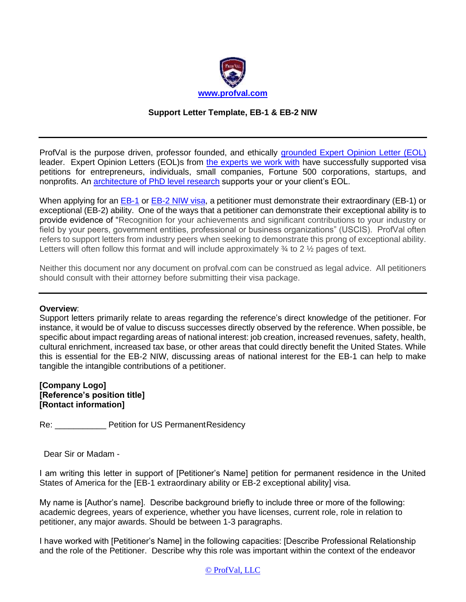

### **Support Letter Template, EB-1 & EB-2 NIW**

ProfVal is the purpose driven, professor founded, and ethically [grounded Expert Opinion Letter \(EOL\)](https://www.profval.com/expertopinionletter) leader. Expert Opinion Letters (EOL)s from [the experts we work with](https://www.profval.com/academic-expertise-areas) have successfully supported visa petitions for entrepreneurs, individuals, small companies, Fortune 500 corporations, startups, and nonprofits. An [architecture of PhD level](https://www.profval.com/blog) research supports your or your client's EOL.

When applying for an [EB-1](https://www.profval.com/eb1expertopinionletter) or [EB-2 NIW](https://www.profval.com/eb-2-expert-opinion-letter) visa, a petitioner must demonstrate their extraordinary (EB-1) or exceptional (EB-2) ability. One of the ways that a petitioner can demonstrate their exceptional ability is to provide evidence of "Recognition for your achievements and significant contributions to your industry or field by your peers, government entities, professional or business organizations" (USCIS). ProfVal often refers to support letters from industry peers when seeking to demonstrate this prong of exceptional ability. Letters will often follow this format and will include approximately  $\frac{3}{4}$  to 2  $\frac{1}{2}$  pages of text.

Neither this document nor any document on profval.com can be construed as legal advice. All petitioners should consult with their attorney before submitting their visa package.

### **Overview**:

Support letters primarily relate to areas regarding the reference's direct knowledge of the petitioner. For instance, it would be of value to discuss successes directly observed by the reference. When possible, be specific about impact regarding areas of national interest: job creation, increased revenues, safety, health, cultural enrichment, increased tax base, or other areas that could directly benefit the United States. While this is essential for the EB-2 NIW, discussing areas of national interest for the EB-1 can help to make tangible the intangible contributions of a petitioner.

**[Company Logo] [Reference's position title] [Rontact information]**

Re: **Next Petition for US Permanent Residency** 

Dear Sir or Madam -

I am writing this letter in support of [Petitioner's Name] petition for permanent residence in the United States of America for the [EB-1 extraordinary ability or EB-2 exceptional ability] visa.

My name is [Author's name]. Describe background briefly to include three or more of the following: academic degrees, years of experience, whether you have licenses, current role, role in relation to petitioner, any major awards. Should be between 1-3 paragraphs.

I have worked with [Petitioner's Name] in the following capacities: [Describe Professional Relationship and the role of the Petitioner. Describe why this role was important within the context of the endeavor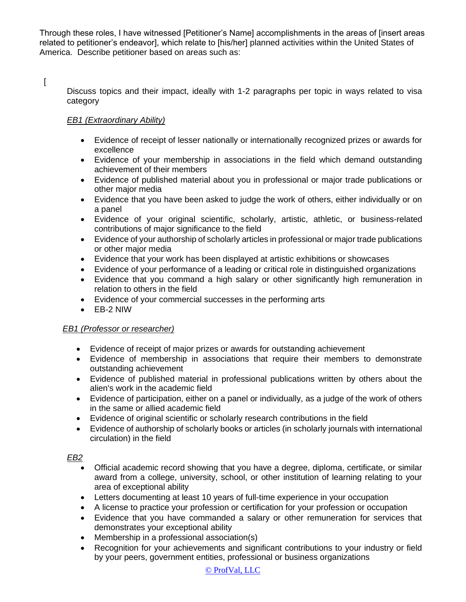Through these roles, I have witnessed [Petitioner's Name] accomplishments in the areas of [insert areas related to petitioner's endeavor], which relate to [his/her] planned activities within the United States of America. Describe petitioner based on areas such as:

 $\overline{a}$ 

Discuss topics and their impact, ideally with 1-2 paragraphs per topic in ways related to visa category

# *EB1 (Extraordinary Ability)*

- Evidence of receipt of lesser nationally or internationally recognized prizes or awards for excellence
- Evidence of your membership in associations in the field which demand outstanding achievement of their members
- Evidence of published material about you in professional or major trade publications or other major media
- Evidence that you have been asked to judge the work of others, either individually or on a panel
- Evidence of your original scientific, scholarly, artistic, athletic, or business-related contributions of major significance to the field
- Evidence of your authorship of scholarly articles in professional or major trade publications or other major media
- Evidence that your work has been displayed at artistic exhibitions or showcases
- Evidence of your performance of a leading or critical role in distinguished organizations
- Evidence that you command a high salary or other significantly high remuneration in relation to others in the field
- Evidence of your commercial successes in the performing arts
- EB-2 NIW

# *EB1 (Professor or researcher)*

- Evidence of receipt of major prizes or awards for outstanding achievement
- Evidence of membership in associations that require their members to demonstrate outstanding achievement
- Evidence of published material in professional publications written by others about the alien's work in the academic field
- Evidence of participation, either on a panel or individually, as a judge of the work of others in the same or allied academic field
- Evidence of original scientific or scholarly research contributions in the field
- Evidence of authorship of scholarly books or articles (in scholarly journals with international circulation) in the field

# *EB2*

- Official academic record showing that you have a degree, diploma, certificate, or similar award from a college, university, school, or other institution of learning relating to your area of exceptional ability
- Letters documenting at least 10 years of full-time experience in your occupation
- A license to practice your profession or certification for your profession or occupation
- Evidence that you have commanded a salary or other remuneration for services that demonstrates your exceptional ability
- Membership in a professional association(s)
- Recognition for your achievements and significant contributions to your industry or field by your peers, government entities, professional or business organizations